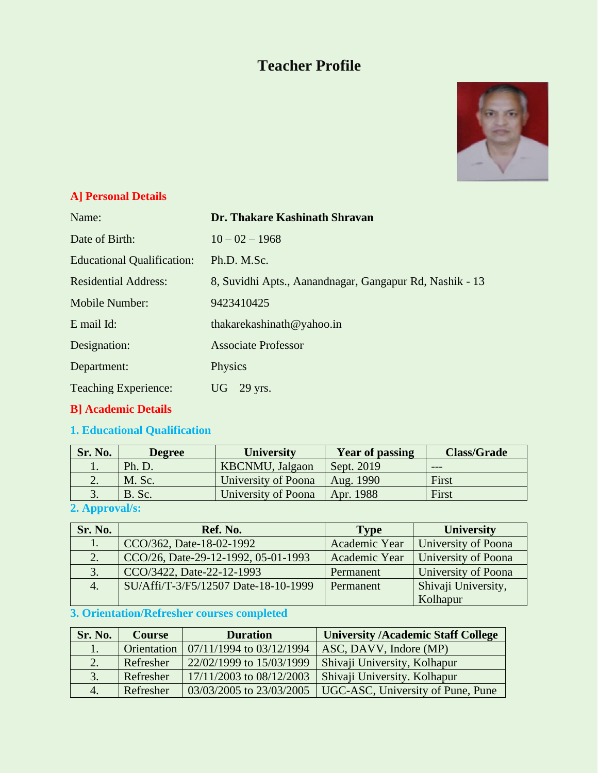# **Teacher Profile**



### **A] Personal Details**

| Name:                             | Dr. Thakare Kashinath Shravan                           |
|-----------------------------------|---------------------------------------------------------|
| Date of Birth:                    | $10 - 02 - 1968$                                        |
| <b>Educational Qualification:</b> | Ph.D. M.Sc.                                             |
| <b>Residential Address:</b>       | 8, Suvidhi Apts., Aanandnagar, Gangapur Rd, Nashik - 13 |
| Mobile Number:                    | 9423410425                                              |
| E mail Id:                        | thakarekashinath@yahoo.in                               |
| Designation:                      | <b>Associate Professor</b>                              |
| Department:                       | Physics                                                 |
| <b>Teaching Experience:</b>       | UG.<br>29 yrs.                                          |
|                                   |                                                         |

## **B] Academic Details**

## **1. Educational Qualification**

| Sr. No. | <b>Degree</b> | <b>University</b>       | <b>Year of passing</b> | <b>Class/Grade</b> |
|---------|---------------|-------------------------|------------------------|--------------------|
|         | Ph. D.        | <b>KBCNMU</b> , Jalgaon | Sept. 2019             | $- - -$            |
|         | M. Sc.        | University of Poona     | Aug. 1990              | First              |
|         | B. Sc.        | University of Poona     | Apr. 1988              | First              |

## **2. Approval/s:**

| Sr. No. | Ref. No.                             | <b>Type</b>   | <b>University</b>   |
|---------|--------------------------------------|---------------|---------------------|
|         | CCO/362, Date-18-02-1992             | Academic Year | University of Poona |
| 2.      | CCO/26, Date-29-12-1992, 05-01-1993  | Academic Year | University of Poona |
| 3.      | CCO/3422, Date-22-12-1993            | Permanent     | University of Poona |
| 4.      | SU/Affi/T-3/F5/12507 Date-18-10-1999 | Permanent     | Shivaji University, |
|         |                                      |               | Kolhapur            |

## **3. Orientation/Refresher courses completed**

| Sr. No.       | <b>Course</b> | <b>Duration</b>              | <b>University /Academic Staff College</b> |
|---------------|---------------|------------------------------|-------------------------------------------|
| $\mathbf{L}$  | Orientation   | $07/11/1994$ to $03/12/1994$ | ASC, DAVV, Indore (MP)                    |
|               | Refresher     | 22/02/1999 to 15/03/1999     | Shivaji University, Kolhapur              |
| $\mathcal{R}$ | Refresher     | 17/11/2003 to 08/12/2003     | Shivaji University. Kolhapur              |
| 4.            | Refresher     | 03/03/2005 to 23/03/2005     | UGC-ASC, University of Pune, Pune         |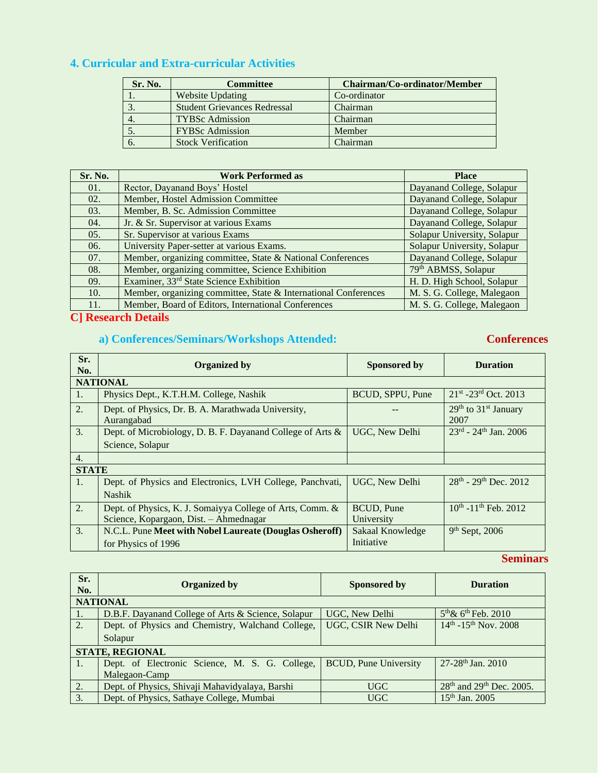## **4. Curricular and Extra-curricular Activities**

| Sr. No. | <b>Committee</b>                    | Chairman/Co-ordinator/Member |
|---------|-------------------------------------|------------------------------|
|         | <b>Website Updating</b>             | Co-ordinator                 |
|         | <b>Student Grievances Redressal</b> | Chairman                     |
|         | <b>TYBSc Admission</b>              | Chairman                     |
|         | <b>FYBSc Admission</b>              | Member                       |
|         | <b>Stock Verification</b>           | Chairman                     |

| Sr. No. | <b>Work Performed as</b>                                        | <b>Place</b>                |
|---------|-----------------------------------------------------------------|-----------------------------|
| 01.     | Rector, Dayanand Boys' Hostel                                   | Dayanand College, Solapur   |
| 02.     | Member, Hostel Admission Committee                              | Dayanand College, Solapur   |
| 03.     | Member, B. Sc. Admission Committee                              | Dayanand College, Solapur   |
| 04.     | Jr. & Sr. Supervisor at various Exams                           | Dayanand College, Solapur   |
| 05.     | Sr. Supervisor at various Exams                                 | Solapur University, Solapur |
| 06.     | University Paper-setter at various Exams.                       | Solapur University, Solapur |
| 07.     | Member, organizing committee, State & National Conferences      | Dayanand College, Solapur   |
| 08.     | Member, organizing committee, Science Exhibition                | 79th ABMSS, Solapur         |
| 09.     | Examiner, 33 <sup>rd</sup> State Science Exhibition             | H. D. High School, Solapur  |
| 10.     | Member, organizing committee, State & International Conferences | M. S. G. College, Malegaon  |
| 11.     | Member, Board of Editors, International Conferences             | M. S. G. College, Malegaon  |

## **C] Research Details**

## **a) Conferences/Seminars/Workshops Attended: Conferences**

| Sr.<br>No.       | <b>Organized by</b>                                              | <b>Sponsored by</b> | <b>Duration</b>                                      |
|------------------|------------------------------------------------------------------|---------------------|------------------------------------------------------|
|                  | <b>NATIONAL</b>                                                  |                     |                                                      |
| 1.               | Physics Dept., K.T.H.M. College, Nashik                          | BCUD, SPPU, Pune    | $21^{st}$ -23 <sup>rd</sup> Oct. 2013                |
| 2.               | Dept. of Physics, Dr. B. A. Marathwada University,<br>Aurangabad |                     | 29 <sup>th</sup> to 31 <sup>st</sup> January<br>2007 |
| 3.               | Dept. of Microbiology, D. B. F. Dayanand College of Arts &       | UGC, New Delhi      | $23^{rd}$ - $24^{th}$ Jan. 2006                      |
|                  | Science, Solapur                                                 |                     |                                                      |
| $\overline{4}$ . |                                                                  |                     |                                                      |
| <b>STATE</b>     |                                                                  |                     |                                                      |
| $\mathbf{1}$ .   | Dept. of Physics and Electronics, LVH College, Panchvati,        | UGC, New Delhi      | 28 <sup>th</sup> - 29 <sup>th</sup> Dec. 2012        |
|                  | <b>Nashik</b>                                                    |                     |                                                      |
| 2.               | Dept. of Physics, K. J. Somaiyya College of Arts, Comm. &        | <b>BCUD, Pune</b>   | $10^{th}$ -11 <sup>th</sup> Feb. 2012                |
|                  | Science, Kopargaon, Dist. - Ahmednagar                           | University          |                                                      |
| 3.               | N.C.L. Pune Meet with Nobel Laureate (Douglas Osheroff)          | Sakaal Knowledge    | $9th$ Sept, 2006                                     |
|                  | for Physics of 1996                                              | Initiative          |                                                      |

#### **Seminars**

| Sr.<br>No.       | <b>Organized by</b>                                | Sponsored by                 | <b>Duration</b>                                  |
|------------------|----------------------------------------------------|------------------------------|--------------------------------------------------|
|                  | <b>NATIONAL</b>                                    |                              |                                                  |
| $\vert 1. \vert$ | D.B.F. Dayanand College of Arts & Science, Solapur | UGC, New Delhi               | $5^{th}$ & $6^{th}$ Feb. 2010                    |
| 2.               | Dept. of Physics and Chemistry, Walchand College,  | <b>UGC, CSIR New Delhi</b>   | $14^{th}$ -15 <sup>th</sup> Nov. 2008            |
|                  | Solapur                                            |                              |                                                  |
|                  | <b>STATE, REGIONAL</b>                             |                              |                                                  |
| 1.               | Dept. of Electronic Science, M. S. G. College,     | <b>BCUD, Pune University</b> | 27-28 <sup>th</sup> Jan. 2010                    |
|                  | Malegaon-Camp                                      |                              |                                                  |
| 2.               | Dept. of Physics, Shivaji Mahavidyalaya, Barshi    | UGC                          | 28 <sup>th</sup> and 29 <sup>th</sup> Dec. 2005. |
| 3.               | Dept. of Physics, Sathaye College, Mumbai          | <b>UGC</b>                   | 15 <sup>th</sup> Jan. 2005                       |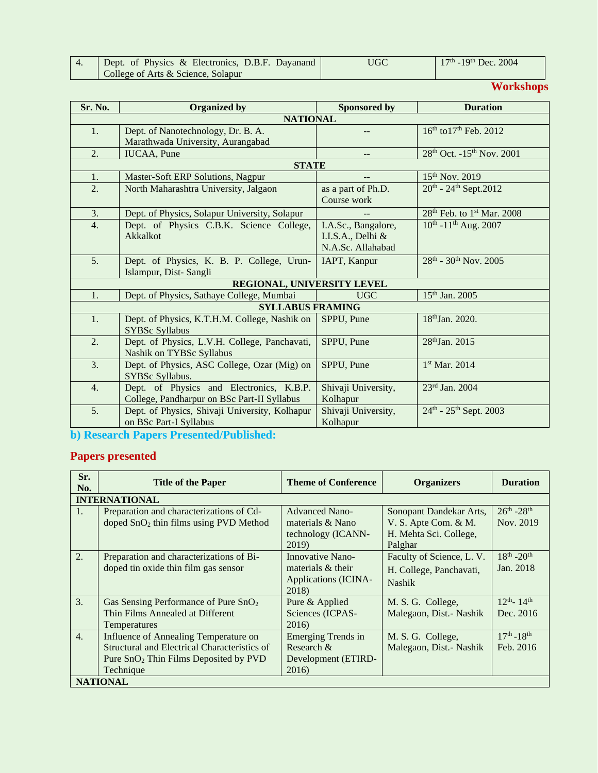| Dept. of Physics & Electronics, D.B.F. Dayanand | UGC | $17th$ -19 <sup>th</sup> Dec. 2004 |
|-------------------------------------------------|-----|------------------------------------|
| College of Arts & Science, Solapur              |     |                                    |

# **Workshops**

| Sr. No. | <b>Organized by</b>                            | <b>Sponsored by</b> | <b>Duration</b>                                   |
|---------|------------------------------------------------|---------------------|---------------------------------------------------|
|         | <b>NATIONAL</b>                                |                     |                                                   |
| 1.      | Dept. of Nanotechnology, Dr. B. A.             | $-$                 | 16th to 17th Feb. 2012                            |
|         | Marathwada University, Aurangabad              |                     |                                                   |
| 2.      | <b>IUCAA</b> , Pune                            | --                  | 28 <sup>th</sup> Oct. -15 <sup>th</sup> Nov. 2001 |
|         | <b>STATE</b>                                   |                     |                                                   |
| 1.      | Master-Soft ERP Solutions, Nagpur              |                     | $15^{th}$ Nov. 2019                               |
| 2.      | North Maharashtra University, Jalgaon          | as a part of Ph.D.  | 20 <sup>th</sup> - 24 <sup>th</sup> Sept.2012     |
|         |                                                | Course work         |                                                   |
| 3.      | Dept. of Physics, Solapur University, Solapur  |                     | $28th$ Feb. to 1 <sup>st</sup> Mar. 2008          |
| 4.      | Dept. of Physics C.B.K. Science College,       | I.A.Sc., Bangalore, | $10^{th}$ -11 <sup>th</sup> Aug. 2007             |
|         | Akkalkot                                       | I.I.S.A., Delhi &   |                                                   |
|         |                                                | N.A.Sc. Allahabad   |                                                   |
| 5.      | Dept. of Physics, K. B. P. College, Urun-      | IAPT, Kanpur        | $28^{th}$ - 30 <sup>th</sup> Nov. 2005            |
|         | Islampur, Dist-Sangli                          |                     |                                                   |
|         | REGIONAL, UNIVERSITY LEVEL                     |                     |                                                   |
| 1.      | Dept. of Physics, Sathaye College, Mumbai      | <b>UGC</b>          | $15th$ Jan. 2005                                  |
|         | <b>SYLLABUS FRAMING</b>                        |                     |                                                   |
| 1.      | Dept. of Physics, K.T.H.M. College, Nashik on  | SPPU, Pune          | 18th Jan. 2020.                                   |
|         | <b>SYBSc Syllabus</b>                          |                     |                                                   |
| 2.      | Dept. of Physics, L.V.H. College, Panchavati,  | SPPU, Pune          | 28 <sup>th</sup> Jan. 2015                        |
|         | Nashik on TYBSc Syllabus                       |                     |                                                   |
| 3.      | Dept. of Physics, ASC College, Ozar (Mig) on   | SPPU, Pune          | 1st Mar. 2014                                     |
|         | SYBSc Syllabus.                                |                     |                                                   |
| 4.      | Dept. of Physics and Electronics, K.B.P.       | Shivaji University, | 23rd Jan. 2004                                    |
|         | College, Pandharpur on BSc Part-II Syllabus    | Kolhapur            |                                                   |
| 5.      | Dept. of Physics, Shivaji University, Kolhapur | Shivaji University, | $24^{th}$ - 25 <sup>th</sup> Sept. 2003           |
|         | on BSc Part-I Syllabus                         | Kolhapur            |                                                   |

**b) Research Papers Presented/Published:**

# **Papers presented**

| Sr.<br>No.       | <b>Title of the Paper</b>                         | <b>Theme of Conference</b>    | <b>Organizers</b>         | <b>Duration</b>              |  |  |
|------------------|---------------------------------------------------|-------------------------------|---------------------------|------------------------------|--|--|
|                  | <b>INTERNATIONAL</b>                              |                               |                           |                              |  |  |
| 1.               | Preparation and characterizations of Cd-          | <b>Advanced Nano-</b>         | Sonopant Dandekar Arts,   | $26^{th} - 28^{th}$          |  |  |
|                  | doped $SnO2$ thin films using PVD Method          | materials & Nano              | V. S. Apte Com. & M.      | Nov. 2019                    |  |  |
|                  |                                                   | technology (ICANN-            | H. Mehta Sci. College,    |                              |  |  |
|                  |                                                   | 2019)                         | Palghar                   |                              |  |  |
| 2.               | Preparation and characterizations of Bi-          | Innovative Nano-              | Faculty of Science, L. V. | $18^{th} - 20^{th}$          |  |  |
|                  | doped tin oxide thin film gas sensor              | materials & their             | H. College, Panchavati,   | Jan. 2018                    |  |  |
|                  |                                                   | Applications (ICINA-<br>2018) | <b>Nashik</b>             |                              |  |  |
| 3.               | Gas Sensing Performance of Pure $SnO2$            | Pure & Applied                | M. S. G. College,         | $12^{th}$ - 14 <sup>th</sup> |  |  |
|                  | Thin Films Annealed at Different                  | Sciences (ICPAS-              | Malegaon, Dist.- Nashik   | Dec. 2016                    |  |  |
|                  | Temperatures                                      | 2016)                         |                           |                              |  |  |
| $\overline{4}$ . | Influence of Annealing Temperature on             | <b>Emerging Trends in</b>     | M. S. G. College,         | $17^{th} - 18^{th}$          |  |  |
|                  | Structural and Electrical Characteristics of      | Research $\&$                 | Malegaon, Dist.- Nashik   | Feb. 2016                    |  |  |
|                  | Pure SnO <sub>2</sub> Thin Films Deposited by PVD | Development (ETIRD-           |                           |                              |  |  |
|                  | Technique                                         | 2016)                         |                           |                              |  |  |
|                  | <b>NATIONAL</b>                                   |                               |                           |                              |  |  |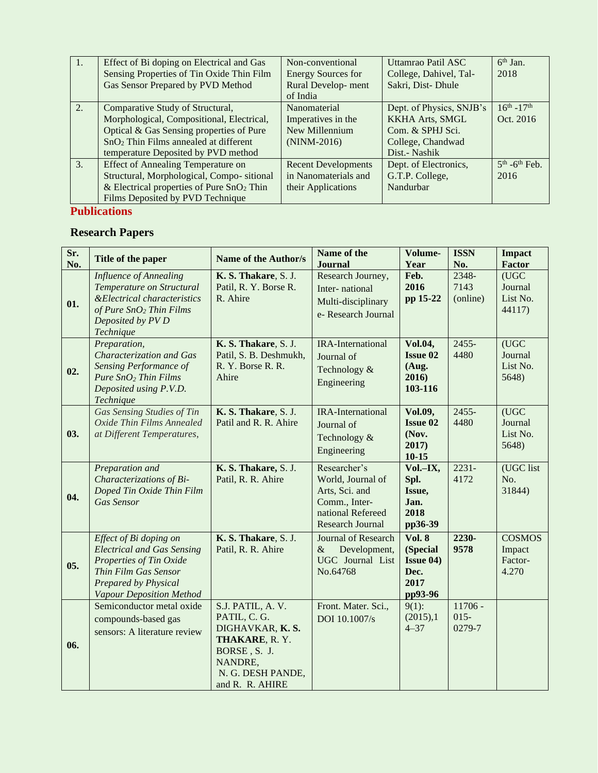| 1. | Effect of Bi doping on Electrical and Gas         | Non-conventional           | Uttamrao Patil ASC       | $6th$ Jan.                  |
|----|---------------------------------------------------|----------------------------|--------------------------|-----------------------------|
|    | Sensing Properties of Tin Oxide Thin Film         | <b>Energy Sources for</b>  | College, Dahivel, Tal-   | 2018                        |
|    | Gas Sensor Prepared by PVD Method                 | Rural Develop-ment         | Sakri, Dist-Dhule        |                             |
|    |                                                   | of India                   |                          |                             |
| 2. | Comparative Study of Structural,                  | Nanomaterial               | Dept. of Physics, SNJB's | $16^{th} - 17^{th}$         |
|    | Morphological, Compositional, Electrical,         | Imperatives in the         | <b>KKHA Arts, SMGL</b>   | Oct. 2016                   |
|    | Optical & Gas Sensing properties of Pure          | New Millennium             | Com. & SPHJ Sci.         |                             |
|    | SnO <sub>2</sub> Thin Films annealed at different | $(NINM-2016)$              | College, Chandwad        |                             |
|    | temperature Deposited by PVD method               |                            | Dist.- Nashik            |                             |
| 3. | <b>Effect of Annealing Temperature on</b>         | <b>Recent Developments</b> | Dept. of Electronics,    | $5th$ -6 <sup>th</sup> Feb. |
|    | Structural, Morphological, Compo-sitional         | in Nanomaterials and       | G.T.P. College,          | 2016                        |
|    | & Electrical properties of Pure $SnO2$ Thin       | their Applications         | Nandurbar                |                             |
|    | Films Deposited by PVD Technique                  |                            |                          |                             |

## **Publications**

## **Research Papers**

| Sr. | Title of the paper                                                                                                                                                 | Name of the Author/s                                                                                                                    | Name of the                                                                                                   | Volume-                                                                   | <b>ISSN</b>                    | <b>Impact</b>                               |
|-----|--------------------------------------------------------------------------------------------------------------------------------------------------------------------|-----------------------------------------------------------------------------------------------------------------------------------------|---------------------------------------------------------------------------------------------------------------|---------------------------------------------------------------------------|--------------------------------|---------------------------------------------|
| No. |                                                                                                                                                                    |                                                                                                                                         | <b>Journal</b>                                                                                                | Year                                                                      | No.                            | <b>Factor</b>                               |
| 01. | <b>Influence of Annealing</b><br>Temperature on Structural<br>& Electrical characteristics<br>of Pure $SnO2$ Thin Films<br>Deposited by PV D<br>Technique          | K. S. Thakare, S. J.<br>Patil, R. Y. Borse R.<br>R. Ahire                                                                               | Research Journey,<br>Inter-national<br>Multi-disciplinary<br>e-Research Journal                               | Feb.<br>2016<br>pp 15-22                                                  | 2348-<br>7143<br>(online)      | (UGC)<br>Journal<br>List No.<br>44117)      |
| 02. | Preparation,<br>Characterization and Gas<br>Sensing Performance of<br>Pure $SnO2$ Thin Films<br>Deposited using P.V.D.<br>Technique                                | K. S. Thakare, S. J.<br>Patil, S. B. Deshmukh,<br>R. Y. Borse R. R.<br>Ahire                                                            | <b>IRA-International</b><br>Journal of<br>Technology &<br>Engineering                                         | <b>Vol.04,</b><br><b>Issue 02</b><br>(Aug.<br>2016)<br>103-116            | $2455 -$<br>4480               | (UGC)<br>Journal<br>List No.<br>5648)       |
| 03. | <b>Gas Sensing Studies of Tin</b><br>Oxide Thin Films Annealed<br>at Different Temperatures,                                                                       | K. S. Thakare, S. J.<br>Patil and R. R. Ahire                                                                                           | <b>IRA-International</b><br>Journal of<br>Technology &<br>Engineering                                         | <b>Vol.09,</b><br><b>Issue 02</b><br>(Nov.<br>2017)<br>$10 - 15$          | $2455 -$<br>4480               | (UGC)<br>Journal<br>List No.<br>5648)       |
| 04. | Preparation and<br>Characterizations of Bi-<br>Doped Tin Oxide Thin Film<br><b>Gas Sensor</b>                                                                      | K. S. Thakare, S. J.<br>Patil, R. R. Ahire                                                                                              | Researcher's<br>World, Journal of<br>Arts, Sci. and<br>Comm., Inter-<br>national Refereed<br>Research Journal | $\overline{\text{Vol}}$ -IX,<br>Spl.<br>Issue,<br>Jan.<br>2018<br>pp36-39 | $2231 -$<br>4172               | (UGC list<br>No.<br>31844)                  |
| 05. | Effect of Bi doping on<br><b>Electrical and Gas Sensing</b><br>Properties of Tin Oxide<br>Thin Film Gas Sensor<br>Prepared by Physical<br>Vapour Deposition Method | K. S. Thakare, S. J.<br>Patil, R. R. Ahire                                                                                              | <b>Journal of Research</b><br>Development,<br>&<br>UGC Journal List<br>No.64768                               | <b>Vol. 8</b><br>(Special<br><b>Issue 04)</b><br>Dec.<br>2017<br>pp93-96  | 2230-<br>9578                  | <b>COSMOS</b><br>Impact<br>Factor-<br>4.270 |
| 06. | Semiconductor metal oxide<br>compounds-based gas<br>sensors: A literature review                                                                                   | S.J. PATIL, A.V.<br>PATIL, C. G.<br>DIGHAVKAR, K.S.<br>THAKARE, R.Y.<br>BORSE, S. J.<br>NANDRE,<br>N. G. DESH PANDE,<br>and R. R. AHIRE | Front. Mater. Sci.,<br>DOI 10.1007/s                                                                          | $9(1)$ :<br>(2015),1<br>$4 - 37$                                          | $11706 -$<br>$015 -$<br>0279-7 |                                             |